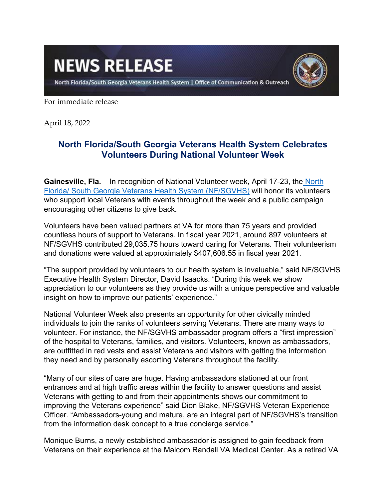## **NEWS RELEASE**



North Florida/South Georgia Veterans Health System | Office of Communication & Outreach

For immediate release

April 18, 2022

## **North Florida/South Georgia Veterans Health System Celebrates Volunteers During National Volunteer Week**

**Gainesville, Fla.** – In recognition of National Volunteer week, April 17-23, the [North](https://www.va.gov/north-florida-health-care/)  [Florida/ South Georgia Veterans Health System \(NF/SGVHS\)](https://www.va.gov/north-florida-health-care/) will honor its volunteers who support local Veterans with events throughout the week and a public campaign encouraging other citizens to give back.

Volunteers have been valued partners at VA for more than 75 years and provided countless hours of support to Veterans. In fiscal year 2021, around 897 volunteers at NF/SGVHS contributed 29,035.75 hours toward caring for Veterans. Their volunteerism and donations were valued at approximately \$407,606.55 in fiscal year 2021.

"The support provided by volunteers to our health system is invaluable," said NF/SGVHS Executive Health System Director, David Isaacks. "During this week we show appreciation to our volunteers as they provide us with a unique perspective and valuable insight on how to improve our patients' experience."

National Volunteer Week also presents an opportunity for other civically minded individuals to join the ranks of volunteers serving Veterans. There are many ways to volunteer. For instance, the NF/SGVHS ambassador program offers a "first impression" of the hospital to Veterans, families, and visitors. Volunteers, known as ambassadors, are outfitted in red vests and assist Veterans and visitors with getting the information they need and by personally escorting Veterans throughout the facility.

"Many of our sites of care are huge. Having ambassadors stationed at our front entrances and at high traffic areas within the facility to answer questions and assist Veterans with getting to and from their appointments shows our commitment to improving the Veterans experience" said Dion Blake, NF/SGVHS Veteran Experience Officer. "Ambassadors-young and mature, are an integral part of NF/SGVHS's transition from the information desk concept to a true concierge service."

Monique Burns, a newly established ambassador is assigned to gain feedback from Veterans on their experience at the Malcom Randall VA Medical Center. As a retired VA